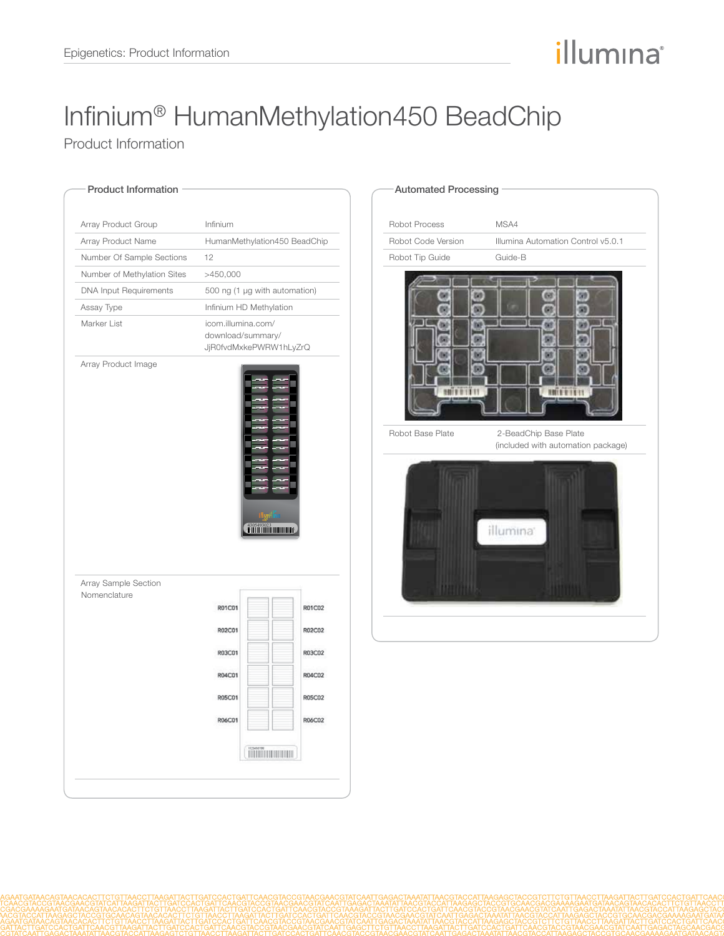## illumina®

# Infinium® HumanMethylation450 BeadChip

Product Information

| Array Product Group           | Infinium                                                          |               |
|-------------------------------|-------------------------------------------------------------------|---------------|
| Array Product Name            | HumanMethylation450 BeadChip                                      |               |
| Number Of Sample Sections     | 12                                                                |               |
| Number of Methylation Sites   | >450,000                                                          |               |
| <b>DNA Input Requirements</b> | 500 ng (1 µg with automation)                                     |               |
| Assay Type                    | Infinium HD Methylation                                           |               |
| Marker List                   | icom.illumina.com/<br>download/summary/<br>JjR0fvdMxkePWRW1hLyZrQ |               |
|                               |                                                                   |               |
|                               |                                                                   |               |
| Array Sample Section          |                                                                   |               |
|                               |                                                                   |               |
|                               | R01C01                                                            | R01C02        |
|                               | R02C01                                                            | R02C02        |
| Nomenclature                  | R03C01                                                            | R03C02        |
|                               | R04C01                                                            | R04C02        |
|                               | <b>R05C01</b>                                                     | <b>R05C02</b> |
|                               | R06C01                                                            | R06C02        |